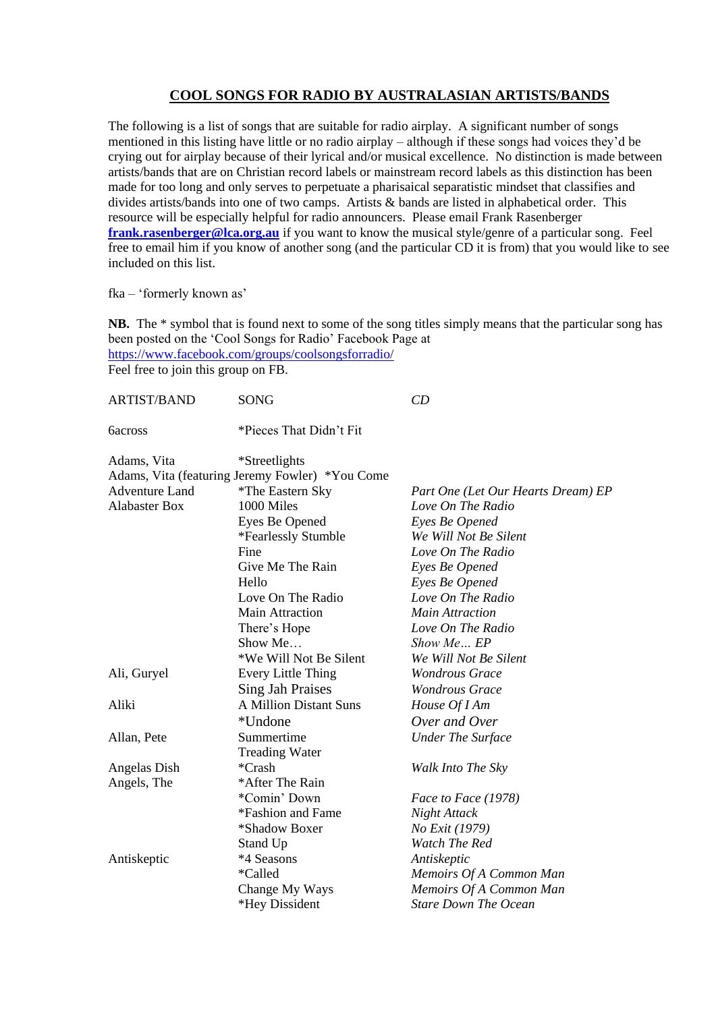## **COOL SONGS FOR RADIO BY AUSTRALASIAN ARTISTS/BANDS**

The following is a list of songs that are suitable for radio airplay. A significant number of songs mentioned in this listing have little or no radio airplay – although if these songs had voices they'd be crying out for airplay because of their lyrical and/or musical excellence. No distinction is made between artists/bands that are on Christian record labels or mainstream record labels as this distinction has been made for too long and only serves to perpetuate a pharisaical separatistic mindset that classifies and divides artists/bands into one of two camps. Artists & bands are listed in alphabetical order. This resource will be especially helpful for radio announcers. Please email Frank Rasenberger **[frank.rasenberger@lca.org.au](mailto:frank.rasenberger@lca.org.au)** if you want to know the musical style/genre of a particular song. Feel free to email him if you know of another song (and the particular CD it is from) that you would like to see included on this list.

fka – 'formerly known as'

**NB.** The \* symbol that is found next to some of the song titles simply means that the particular song has been posted on the 'Cool Songs for Radio' Facebook Page at <https://www.facebook.com/groups/coolsongsforradio/>

Feel free to join this group on FB.

| <b>ARTIST/BAND</b>    | <b>SONG</b>                                     | CD                                 |
|-----------------------|-------------------------------------------------|------------------------------------|
|                       | *Pieces That Didn't Fit                         |                                    |
| Adams, Vita           | *Streetlights                                   |                                    |
|                       | Adams, Vita (featuring Jeremy Fowler) *You Come |                                    |
| <b>Adventure Land</b> | *The Eastern Sky                                | Part One (Let Our Hearts Dream) EP |
| <b>Alabaster Box</b>  | 1000 Miles                                      | Love On The Radio                  |
|                       | Eyes Be Opened                                  | Eyes Be Opened                     |
|                       | *Fearlessly Stumble                             | We Will Not Be Silent              |
|                       | Fine                                            | Love On The Radio                  |
|                       | Give Me The Rain                                | Eyes Be Opened                     |
|                       | Hello                                           | Eyes Be Opened                     |
|                       | Love On The Radio                               | Love On The Radio                  |
|                       | <b>Main Attraction</b>                          | <b>Main Attraction</b>             |
|                       | There's Hope                                    | Love On The Radio                  |
|                       | Show Me                                         | Show Me EP                         |
|                       | *We Will Not Be Silent                          | We Will Not Be Silent              |
| Ali, Guryel           | Every Little Thing                              | <b>Wondrous Grace</b>              |
|                       | <b>Sing Jah Praises</b>                         | <b>Wondrous Grace</b>              |
| Aliki                 | A Million Distant Suns                          | House Of I Am                      |
|                       | *Undone                                         | Over and Over                      |
| Allan, Pete           | Summertime                                      | <b>Under The Surface</b>           |
|                       | <b>Treading Water</b>                           |                                    |
| Angelas Dish          | *Crash                                          | Walk Into The Sky                  |
| Angels, The           | *After The Rain                                 |                                    |
|                       | *Comin' Down                                    | Face to Face (1978)                |
|                       | *Fashion and Fame                               | Night Attack                       |
|                       | *Shadow Boxer                                   | No Exit (1979)                     |
|                       | Stand Up                                        | Watch The Red                      |
| Antiskeptic           | *4 Seasons                                      | Antiskeptic                        |
|                       | *Called                                         | Memoirs Of A Common Man            |
|                       | Change My Ways                                  | Memoirs Of A Common Man            |
|                       | *Hey Dissident                                  | <b>Stare Down The Ocean</b>        |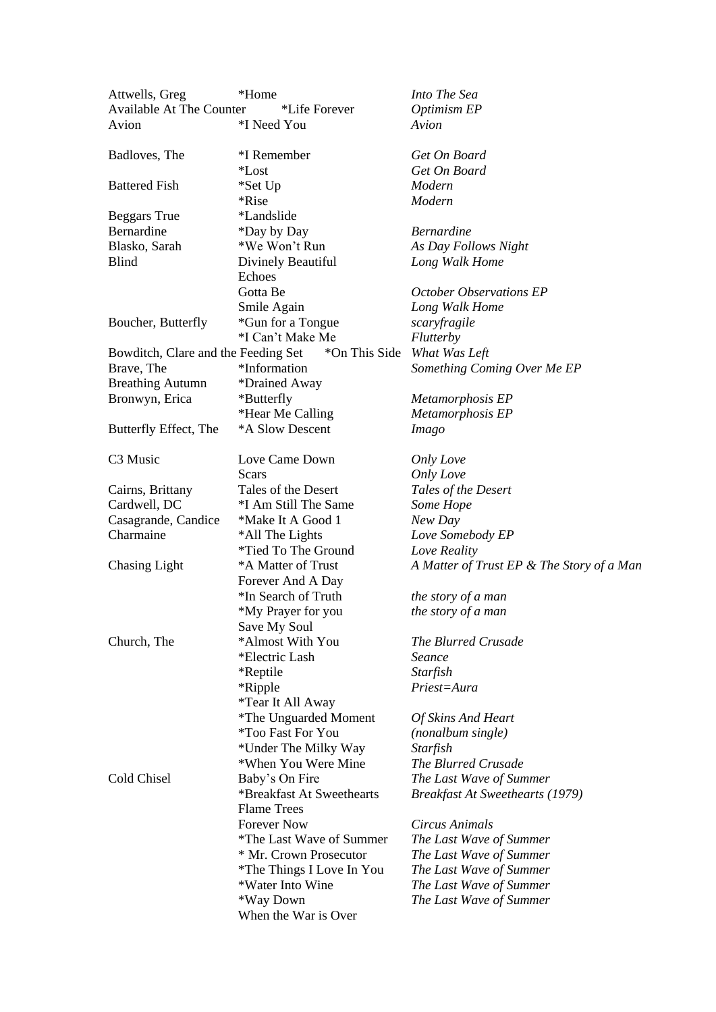| Attwells, Greg                      | *Home                                           | Into The Sea                              |
|-------------------------------------|-------------------------------------------------|-------------------------------------------|
| <b>Available At The Counter</b>     | *Life Forever                                   | Optimism EP                               |
| Avion                               | *I Need You                                     | Avion                                     |
| Badloves, The                       | *I Remember                                     | Get On Board                              |
|                                     | *Lost                                           | Get On Board                              |
| <b>Battered Fish</b>                | *Set Up                                         | Modern                                    |
|                                     | *Rise                                           | Modern                                    |
| <b>Beggars</b> True                 | <i>*Landslide</i>                               |                                           |
| Bernardine                          | *Day by Day                                     | <b>Bernardine</b>                         |
| Blasko, Sarah                       | *We Won't Run                                   | As Day Follows Night                      |
| Blind                               | Divinely Beautiful                              | Long Walk Home                            |
|                                     | Echoes                                          |                                           |
|                                     | Gotta Be                                        | <b>October Observations EP</b>            |
|                                     | Smile Again                                     | Long Walk Home                            |
| Boucher, Butterfly                  | *Gun for a Tongue                               | scaryfragile                              |
|                                     | *I Can't Make Me                                | <b>Flutterby</b>                          |
| Bowditch, Clare and the Feeding Set | *On This Side                                   | What Was Left                             |
| Brave, The                          | *Information                                    | Something Coming Over Me EP               |
| <b>Breathing Autumn</b>             | *Drained Away                                   |                                           |
| Bronwyn, Erica                      | *Butterfly                                      | Metamorphosis EP                          |
|                                     | *Hear Me Calling                                | Metamorphosis EP                          |
| Butterfly Effect, The               | *A Slow Descent                                 | <i>Imago</i>                              |
| C <sub>3</sub> Music                | Love Came Down                                  | <b>Only Love</b>                          |
|                                     | Scars                                           | Only Love                                 |
| Cairns, Brittany                    | Tales of the Desert                             | Tales of the Desert                       |
| Cardwell, DC                        | *I Am Still The Same                            | Some Hope                                 |
| Casagrande, Candice                 | *Make It A Good 1                               | New Day                                   |
| Charmaine                           | *All The Lights                                 | Love Somebody EP                          |
|                                     | *Tied To The Ground                             | Love Reality                              |
| <b>Chasing Light</b>                | *A Matter of Trust                              | A Matter of Trust EP & The Story of a Man |
|                                     | Forever And A Day                               |                                           |
|                                     | *In Search of Truth                             | the story of a man                        |
|                                     | *My Prayer for you                              | the story of a man                        |
|                                     | Save My Soul                                    |                                           |
| Church, The                         | *Almost With You                                | The Blurred Crusade                       |
|                                     | *Electric Lash                                  | Seance                                    |
|                                     | *Reptile                                        | Starfish                                  |
|                                     | *Ripple                                         | Priest=Aura                               |
|                                     | <i>*Tear It All Away</i>                        |                                           |
|                                     | <i>*The Unguarded Moment</i>                    | Of Skins And Heart                        |
|                                     | *Too Fast For You                               | (nonalbum single)                         |
|                                     | *Under The Milky Way                            | Starfish                                  |
|                                     | *When You Were Mine                             | The Blurred Crusade                       |
| Cold Chisel                         | Baby's On Fire                                  | The Last Wave of Summer                   |
|                                     | *Breakfast At Sweethearts<br><b>Flame Trees</b> | <b>Breakfast At Sweethearts (1979)</b>    |
|                                     | <b>Forever Now</b>                              | Circus Animals                            |
|                                     | *The Last Wave of Summer                        | The Last Wave of Summer                   |
|                                     | * Mr. Crown Prosecutor                          | The Last Wave of Summer                   |
|                                     | *The Things I Love In You                       | The Last Wave of Summer                   |
|                                     | *Water Into Wine                                | The Last Wave of Summer                   |
|                                     | *Way Down                                       | The Last Wave of Summer                   |
|                                     | When the War is Over                            |                                           |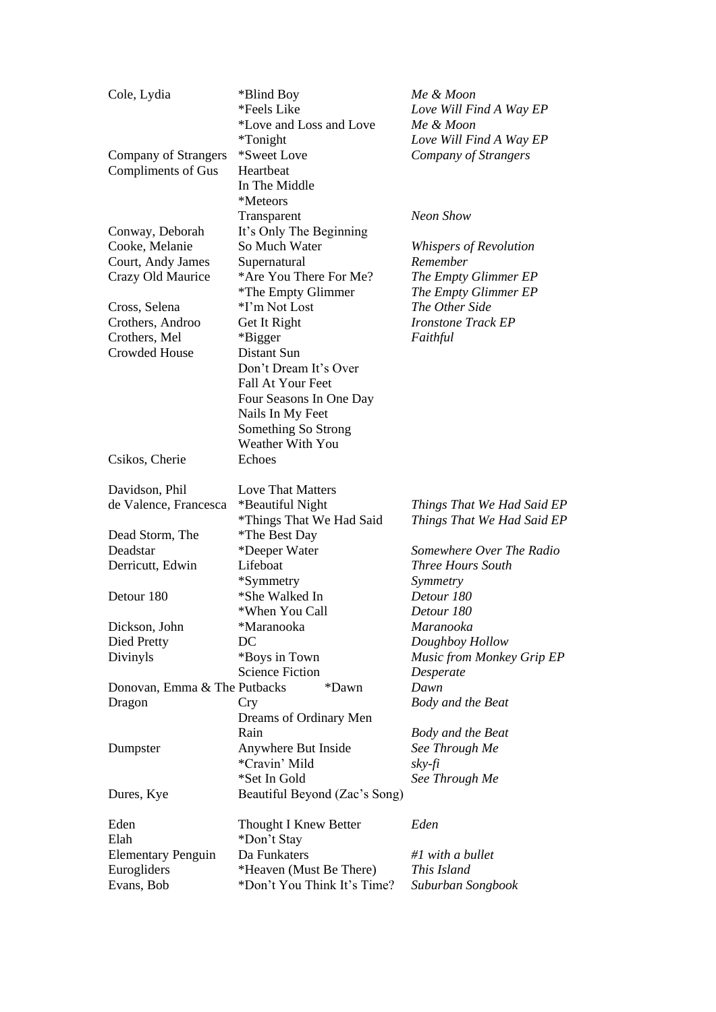| Cole, Lydia                  | *Blind Boy                    | Me & Moon                  |
|------------------------------|-------------------------------|----------------------------|
|                              | *Feels Like                   | Love Will Find A Way EP    |
|                              | *Love and Loss and Love       | Me & Moon                  |
|                              | *Tonight                      | Love Will Find A Way EP    |
| Company of Strangers         | *Sweet Love                   | Company of Strangers       |
| Compliments of Gus           | Heartbeat                     |                            |
|                              | In The Middle                 |                            |
|                              | *Meteors                      |                            |
|                              | Transparent                   | Neon Show                  |
| Conway, Deborah              | It's Only The Beginning       |                            |
| Cooke, Melanie               | So Much Water                 | Whispers of Revolution     |
| Court, Andy James            | Supernatural                  | Remember                   |
| Crazy Old Maurice            | *Are You There For Me?        | The Empty Glimmer EP       |
|                              | *The Empty Glimmer            | The Empty Glimmer EP       |
| Cross, Selena                | *I'm Not Lost                 | The Other Side             |
| Crothers, Androo             | Get It Right                  | <b>Ironstone Track EP</b>  |
| Crothers, Mel                | *Bigger                       | Faithful                   |
| <b>Crowded House</b>         | Distant Sun                   |                            |
|                              |                               |                            |
|                              | Don't Dream It's Over         |                            |
|                              | Fall At Your Feet             |                            |
|                              | Four Seasons In One Day       |                            |
|                              | Nails In My Feet              |                            |
|                              | Something So Strong           |                            |
|                              | Weather With You              |                            |
| Csikos, Cherie               | Echoes                        |                            |
|                              |                               |                            |
| Davidson, Phil               | <b>Love That Matters</b>      |                            |
| de Valence, Francesca        | *Beautiful Night              | Things That We Had Said EP |
|                              | *Things That We Had Said      | Things That We Had Said EP |
| Dead Storm, The              | *The Best Day                 |                            |
| Deadstar                     | *Deeper Water                 | Somewhere Over The Radio   |
| Derricutt, Edwin             | Lifeboat                      | <b>Three Hours South</b>   |
|                              | *Symmetry                     | Symmetry                   |
| Detour 180                   | *She Walked In                | Detour 180                 |
|                              | *When You Call                | Detour 180                 |
| Dickson, John                | *Maranooka                    | Maranooka                  |
| Died Pretty                  | DC                            | Doughboy Hollow            |
| Divinyls                     | *Boys in Town                 | Music from Monkey Grip EP  |
|                              | <b>Science Fiction</b>        | Desperate                  |
| Donovan, Emma & The Putbacks | *Dawn                         | Dawn                       |
| Dragon                       | Cry                           | Body and the Beat          |
|                              | Dreams of Ordinary Men        |                            |
|                              | Rain                          | Body and the Beat          |
| Dumpster                     | Anywhere But Inside           | See Through Me             |
|                              | *Cravin' Mild                 | $sky$ -fi                  |
|                              | *Set In Gold                  |                            |
|                              |                               | See Through Me             |
| Dures, Kye                   | Beautiful Beyond (Zac's Song) |                            |
|                              |                               |                            |
| Eden                         | Thought I Knew Better         | Eden                       |
| Elah                         | *Don't Stay                   |                            |
| <b>Elementary Penguin</b>    | Da Funkaters                  | #1 with a bullet           |
| Eurogliders                  | *Heaven (Must Be There)       | This Island                |
| Evans, Bob                   | *Don't You Think It's Time?   | Suburban Songbook          |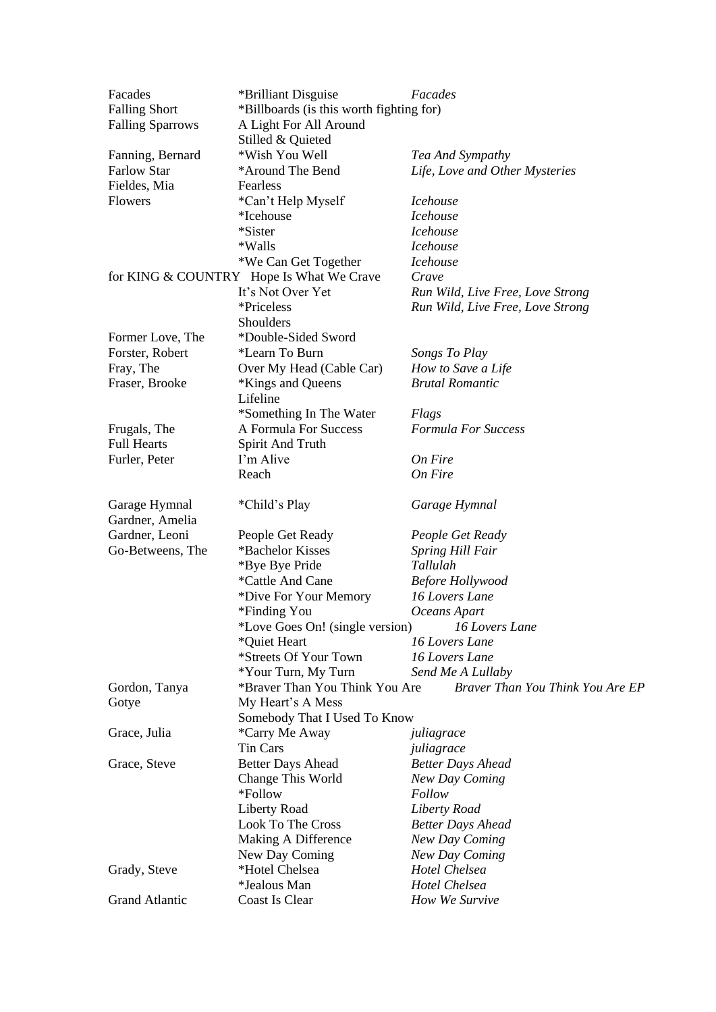| Facades                 | *Brilliant Disguise                      | Facades                          |  |
|-------------------------|------------------------------------------|----------------------------------|--|
| <b>Falling Short</b>    | *Billboards (is this worth fighting for) |                                  |  |
| <b>Falling Sparrows</b> | A Light For All Around                   |                                  |  |
|                         | Stilled & Quieted                        |                                  |  |
| Fanning, Bernard        | *Wish You Well                           | Tea And Sympathy                 |  |
| <b>Farlow Star</b>      | *Around The Bend                         | Life, Love and Other Mysteries   |  |
| Fieldes, Mia            | Fearless                                 |                                  |  |
| <b>Flowers</b>          | *Can't Help Myself                       | <i>Icehouse</i>                  |  |
|                         | *Icehouse                                | <i>Icehouse</i>                  |  |
|                         | *Sister                                  | <i>Icehouse</i>                  |  |
|                         | *Walls                                   | <i>Icehouse</i>                  |  |
|                         | *We Can Get Together                     | <i>Icehouse</i>                  |  |
|                         | for KING & COUNTRY Hope Is What We Crave | Crave                            |  |
|                         | It's Not Over Yet                        | Run Wild, Live Free, Love Strong |  |
|                         | *Priceless                               | Run Wild, Live Free, Love Strong |  |
|                         | Shoulders                                |                                  |  |
| Former Love, The        | *Double-Sided Sword                      |                                  |  |
| Forster, Robert         | *Learn To Burn                           | Songs To Play                    |  |
| Fray, The               | Over My Head (Cable Car)                 | How to Save a Life               |  |
| Fraser, Brooke          | *Kings and Queens                        | <b>Brutal Romantic</b>           |  |
|                         | Lifeline                                 |                                  |  |
|                         | *Something In The Water                  | Flags                            |  |
| Frugals, The            | A Formula For Success                    | <b>Formula For Success</b>       |  |
| <b>Full Hearts</b>      | Spirit And Truth                         |                                  |  |
| Furler, Peter           | I'm Alive                                | On Fire                          |  |
|                         | Reach                                    | On Fire                          |  |
|                         |                                          |                                  |  |
| Garage Hymnal           | *Child's Play                            | Garage Hymnal                    |  |
| Gardner, Amelia         |                                          |                                  |  |
| Gardner, Leoni          | People Get Ready                         | People Get Ready                 |  |
| Go-Betweens, The        | *Bachelor Kisses                         | <b>Spring Hill Fair</b>          |  |
|                         | *Bye Bye Pride                           | Tallulah                         |  |
|                         | *Cattle And Cane                         | <b>Before Hollywood</b>          |  |
|                         | *Dive For Your Memory                    | 16 Lovers Lane                   |  |
|                         | *Finding You                             | Oceans Apart                     |  |
|                         | *Love Goes On! (single version)          | 16 Lovers Lane                   |  |
|                         | *Quiet Heart                             | 16 Lovers Lane                   |  |
|                         | *Streets Of Your Town                    | 16 Lovers Lane                   |  |
|                         | *Your Turn, My Turn                      | Send Me A Lullaby                |  |
| Gordon, Tanya           | *Braver Than You Think You Are           | Braver Than You Think You Are EP |  |
| Gotye                   | My Heart's A Mess                        |                                  |  |
|                         | Somebody That I Used To Know             |                                  |  |
| Grace, Julia            | *Carry Me Away                           | juliagrace                       |  |
|                         | Tin Cars                                 | juliagrace                       |  |
| Grace, Steve            | <b>Better Days Ahead</b>                 | <b>Better Days Ahead</b>         |  |
|                         |                                          | New Day Coming                   |  |
|                         | Change This World                        |                                  |  |
|                         | *Follow                                  | Follow                           |  |
|                         | Liberty Road                             | Liberty Road                     |  |
|                         | Look To The Cross                        | <b>Better Days Ahead</b>         |  |
|                         | Making A Difference                      | New Day Coming                   |  |
|                         | New Day Coming                           | New Day Coming                   |  |
| Grady, Steve            | *Hotel Chelsea                           | Hotel Chelsea                    |  |
|                         | *Jealous Man                             | Hotel Chelsea                    |  |
| <b>Grand Atlantic</b>   | <b>Coast Is Clear</b>                    | How We Survive                   |  |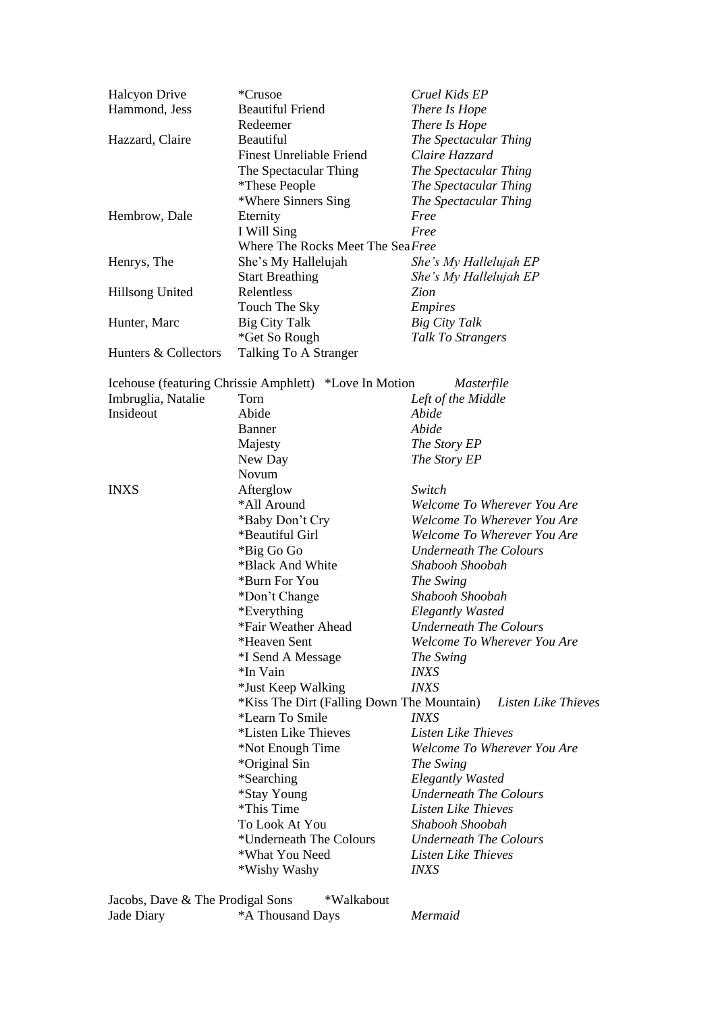| <b>Halcyon Drive</b> | *Crusoe                                                        | Cruel Kids EP                 |
|----------------------|----------------------------------------------------------------|-------------------------------|
| Hammond, Jess        | <b>Beautiful Friend</b>                                        | There Is Hope                 |
|                      | Redeemer                                                       | There Is Hope                 |
| Hazzard, Claire      | Beautiful                                                      | The Spectacular Thing         |
|                      | <b>Finest Unreliable Friend</b>                                | Claire Hazzard                |
|                      | The Spectacular Thing                                          | The Spectacular Thing         |
|                      | <i>*These People</i>                                           | The Spectacular Thing         |
|                      | *Where Sinners Sing                                            | The Spectacular Thing         |
| Hembrow, Dale        | Eternity                                                       | Free                          |
|                      | I Will Sing                                                    | Free                          |
|                      | Where The Rocks Meet The Sea Free                              |                               |
| Henrys, The          | She's My Hallelujah                                            | She's My Hallelujah EP        |
|                      | <b>Start Breathing</b>                                         | She's My Hallelujah EP        |
| Hillsong United      | Relentless                                                     | Zion                          |
|                      | Touch The Sky                                                  | <b>Empires</b>                |
| Hunter, Marc         | <b>Big City Talk</b>                                           | <b>Big City Talk</b>          |
|                      | *Get So Rough                                                  | Talk To Strangers             |
| Hunters & Collectors | Talking To A Stranger                                          |                               |
|                      |                                                                | Masterfile                    |
| Imbruglia, Natalie   | Icehouse (featuring Chrissie Amphlett) *Love In Motion<br>Torn |                               |
| Insideout            | Abide                                                          | Left of the Middle<br>Abide   |
|                      |                                                                |                               |
|                      | Banner                                                         | Abide                         |
|                      | Majesty                                                        | The Story EP                  |
|                      | New Day                                                        | The Story EP                  |
|                      | Novum                                                          |                               |
| <b>INXS</b>          | Afterglow                                                      | Switch                        |
|                      | *All Around                                                    | Welcome To Wherever You Are   |
|                      | *Baby Don't Cry                                                | Welcome To Wherever You Are   |
|                      | *Beautiful Girl                                                | Welcome To Wherever You Are   |
|                      | *Big Go Go                                                     | Underneath The Colours        |
|                      | *Black And White                                               | Shabooh Shoobah               |
|                      | *Burn For You                                                  | The Swing                     |
|                      | *Don't Change                                                  | Shabooh Shoobah               |
|                      | *Everything                                                    | <b>Elegantly Wasted</b>       |
|                      | *Fair Weather Ahead                                            | <b>Underneath The Colours</b> |
|                      | *Heaven Sent                                                   | Welcome To Wherever You Are   |
|                      | *I Send A Message                                              | The Swing                     |
|                      | *In Vain                                                       | <i>INXS</i>                   |
|                      | *Just Keep Walking                                             | <b>INXS</b>                   |
|                      | *Kiss The Dirt (Falling Down The Mountain)                     | Listen Like Thieves           |
|                      | *Learn To Smile                                                | <i>INXS</i>                   |
|                      | *Listen Like Thieves                                           | Listen Like Thieves           |
|                      | *Not Enough Time                                               | Welcome To Wherever You Are   |
|                      | *Original Sin                                                  | The Swing                     |
|                      | *Searching                                                     | <b>Elegantly Wasted</b>       |
|                      | *Stay Young                                                    | <b>Underneath The Colours</b> |
|                      | *This Time                                                     | Listen Like Thieves           |
|                      | To Look At You                                                 | Shabooh Shoobah               |
|                      | *Underneath The Colours                                        | <b>Underneath The Colours</b> |
|                      | *What You Need                                                 | Listen Like Thieves           |
|                      | *Wishy Washy                                                   | <i>INXS</i>                   |
|                      |                                                                |                               |

| Jacobs, Dave & The Prodigal Sons |                  | *Walkabout |  |
|----------------------------------|------------------|------------|--|
| Jade Diary                       | *A Thousand Days |            |  |

 $Mermaid$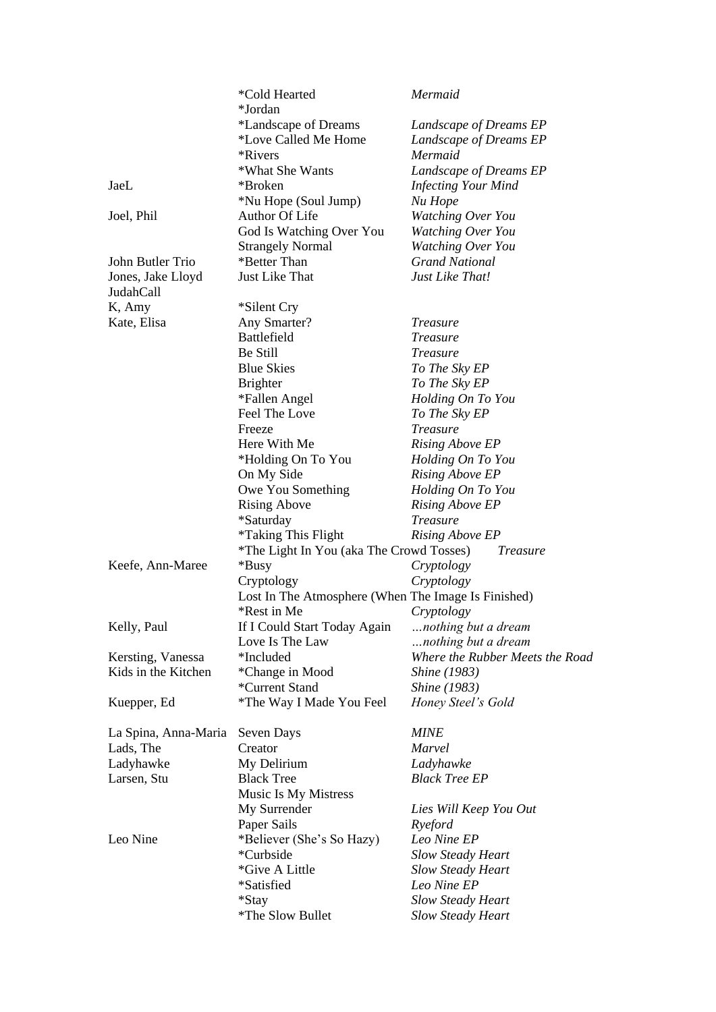|                      | *Cold Hearted<br>*Jordan                            | Mermaid                         |
|----------------------|-----------------------------------------------------|---------------------------------|
|                      | *Landscape of Dreams                                | Landscape of Dreams EP          |
|                      | *Love Called Me Home                                | Landscape of Dreams EP          |
|                      | *Rivers                                             | Mermaid                         |
|                      | *What She Wants                                     | Landscape of Dreams EP          |
| JaeL                 | *Broken                                             | <b>Infecting Your Mind</b>      |
|                      | *Nu Hope (Soul Jump)                                | Nu Hope                         |
| Joel, Phil           | Author Of Life                                      | Watching Over You               |
|                      | God Is Watching Over You                            | <b>Watching Over You</b>        |
|                      | <b>Strangely Normal</b>                             | <b>Watching Over You</b>        |
| John Butler Trio     | *Better Than                                        | <b>Grand National</b>           |
| Jones, Jake Lloyd    | Just Like That                                      | Just Like That!                 |
| JudahCall            |                                                     |                                 |
| K, Amy               | *Silent Cry                                         |                                 |
| Kate, Elisa          | Any Smarter?                                        | <b>Treasure</b>                 |
|                      | <b>Battlefield</b>                                  | <b>Treasure</b>                 |
|                      | Be Still                                            | <i>Treasure</i>                 |
|                      | <b>Blue Skies</b>                                   | To The Sky EP                   |
|                      | <b>Brighter</b>                                     | To The Sky EP                   |
|                      | *Fallen Angel                                       | Holding On To You               |
|                      | Feel The Love                                       | To The Sky EP                   |
|                      | Freeze                                              | <b>Treasure</b>                 |
|                      | Here With Me                                        | <b>Rising Above EP</b>          |
|                      | *Holding On To You                                  | Holding On To You               |
|                      |                                                     |                                 |
|                      | On My Side                                          | <b>Rising Above EP</b>          |
|                      | Owe You Something                                   | Holding On To You               |
|                      | <b>Rising Above</b>                                 | <b>Rising Above EP</b>          |
|                      | *Saturday                                           | <b>Treasure</b>                 |
|                      | <i>*Taking This Flight</i>                          | <b>Rising Above EP</b>          |
|                      | *The Light In You (aka The Crowd Tosses)            | <b>Treasure</b>                 |
| Keefe, Ann-Maree     | *Busy                                               | Cryptology                      |
|                      | Cryptology                                          | Cryptology                      |
|                      | Lost In The Atmosphere (When The Image Is Finished) |                                 |
|                      | *Rest in Me                                         | Cryptology                      |
| Kelly, Paul          | If I Could Start Today Again                        | nothing but a dream             |
|                      | Love Is The Law                                     | nothing but a dream             |
| Kersting, Vanessa    | *Included                                           | Where the Rubber Meets the Road |
| Kids in the Kitchen  | *Change in Mood                                     | <i>Shine</i> (1983)             |
|                      | *Current Stand                                      | <i>Shine</i> (1983)             |
| Kuepper, Ed          | *The Way I Made You Feel                            | Honey Steel's Gold              |
| La Spina, Anna-Maria | Seven Days                                          | <b>MINE</b>                     |
| Lads, The            | Creator                                             | Marvel                          |
| Ladyhawke            | My Delirium                                         | Ladyhawke                       |
| Larsen, Stu          | <b>Black Tree</b>                                   | <b>Black Tree EP</b>            |
|                      | Music Is My Mistress                                |                                 |
|                      | My Surrender                                        | Lies Will Keep You Out          |
|                      | Paper Sails                                         | Ryeford                         |
| Leo Nine             | *Believer (She's So Hazy)                           | Leo Nine EP                     |
|                      | *Curbside                                           | <b>Slow Steady Heart</b>        |
|                      | *Give A Little                                      | <b>Slow Steady Heart</b>        |
|                      | *Satisfied                                          | Leo Nine EP                     |
|                      |                                                     |                                 |
|                      | *Stay<br>*The Slow Bullet                           | <b>Slow Steady Heart</b>        |
|                      |                                                     | <b>Slow Steady Heart</b>        |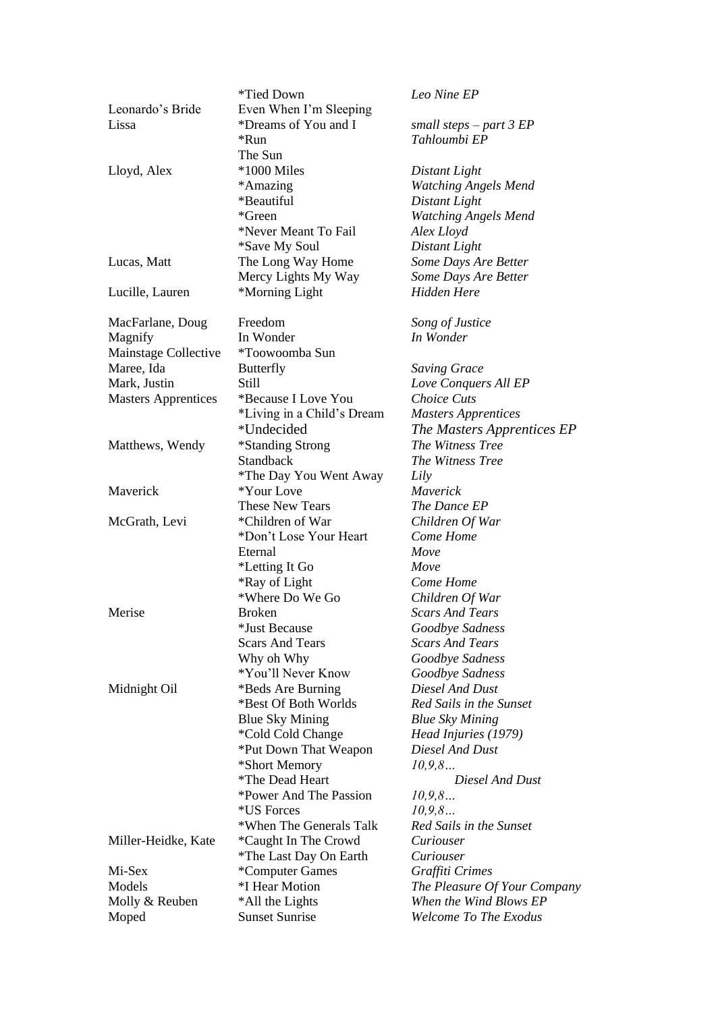|                            | *Tied Down                       | Leo Nine EP                         |
|----------------------------|----------------------------------|-------------------------------------|
| Leonardo's Bride           | Even When I'm Sleeping           |                                     |
| Lissa                      | *Dreams of You and I             | small steps – part 3 $EP$           |
|                            | *Run                             | Tahloumbi EP                        |
|                            | The Sun                          |                                     |
| Lloyd, Alex                | *1000 Miles                      | Distant Light                       |
|                            | *Amazing                         | <b>Watching Angels Mend</b>         |
|                            | *Beautiful                       | Distant Light                       |
|                            | *Green                           | <b>Watching Angels Mend</b>         |
|                            | *Never Meant To Fail             | Alex Lloyd                          |
|                            | <i>*Save My Soul</i>             | Distant Light                       |
| Lucas, Matt                | The Long Way Home                | Some Days Are Better                |
|                            | Mercy Lights My Way              | Some Days Are Better                |
|                            | *Morning Light                   | Hidden Here                         |
| Lucille, Lauren            |                                  |                                     |
| MacFarlane, Doug           | Freedom                          | Song of Justice                     |
| Magnify                    | In Wonder                        | In Wonder                           |
| Mainstage Collective       | *Toowoomba Sun                   |                                     |
| Maree, Ida                 | <b>Butterfly</b>                 | <b>Saving Grace</b>                 |
| Mark, Justin               | <b>Still</b>                     |                                     |
|                            |                                  | Love Conquers All EP<br>Choice Cuts |
| <b>Masters Apprentices</b> | *Because I Love You              |                                     |
|                            | *Living in a Child's Dream       | <b>Masters Apprentices</b>          |
|                            | *Undecided                       | The Masters Apprentices EP          |
| Matthews, Wendy            | *Standing Strong                 | The Witness Tree                    |
|                            | <b>Standback</b>                 | The Witness Tree                    |
|                            | *The Day You Went Away           | Lily                                |
| Maverick                   | *Your Love                       | Maverick                            |
|                            | <b>These New Tears</b>           | The Dance EP                        |
| McGrath, Levi              | *Children of War                 | Children Of War                     |
|                            | *Don't Lose Your Heart           | Come Home                           |
|                            | Eternal                          | Move                                |
|                            | *Letting It Go                   | Move                                |
|                            | *Ray of Light                    | Come Home                           |
|                            | *Where Do We Go                  | Children Of War                     |
| Merise                     | <b>Broken</b>                    | <b>Scars And Tears</b>              |
|                            | *Just Because                    | Goodbye Sadness                     |
|                            | <b>Scars And Tears</b>           | <b>Scars And Tears</b>              |
|                            | Why oh Why                       | Goodbye Sadness                     |
|                            | *You'll Never Know               | Goodbye Sadness                     |
| Midnight Oil               | *Beds Are Burning                | Diesel And Dust                     |
|                            | *Best Of Both Worlds             | Red Sails in the Sunset             |
|                            | <b>Blue Sky Mining</b>           | <b>Blue Sky Mining</b>              |
|                            | *Cold Cold Change                | Head Injuries (1979)                |
|                            | *Put Down That Weapon            | Diesel And Dust                     |
|                            |                                  | 10, 9, 8                            |
|                            | *Short Memory<br>*The Dead Heart | Diesel And Dust                     |
|                            |                                  |                                     |
|                            | *Power And The Passion           | 10, 9, 8                            |
|                            | *US Forces                       | 10, 9, 8                            |
|                            | *When The Generals Talk          | Red Sails in the Sunset             |
| Miller-Heidke, Kate        | *Caught In The Crowd             | Curiouser                           |
|                            | *The Last Day On Earth           | Curiouser                           |
| Mi-Sex                     | *Computer Games                  | Graffiti Crimes                     |
| Models                     | *I Hear Motion                   | The Pleasure Of Your Company        |
| Molly & Reuben             | *All the Lights                  | When the Wind Blows EP              |
| Moped                      | <b>Sunset Sunrise</b>            | Welcome To The Exodus               |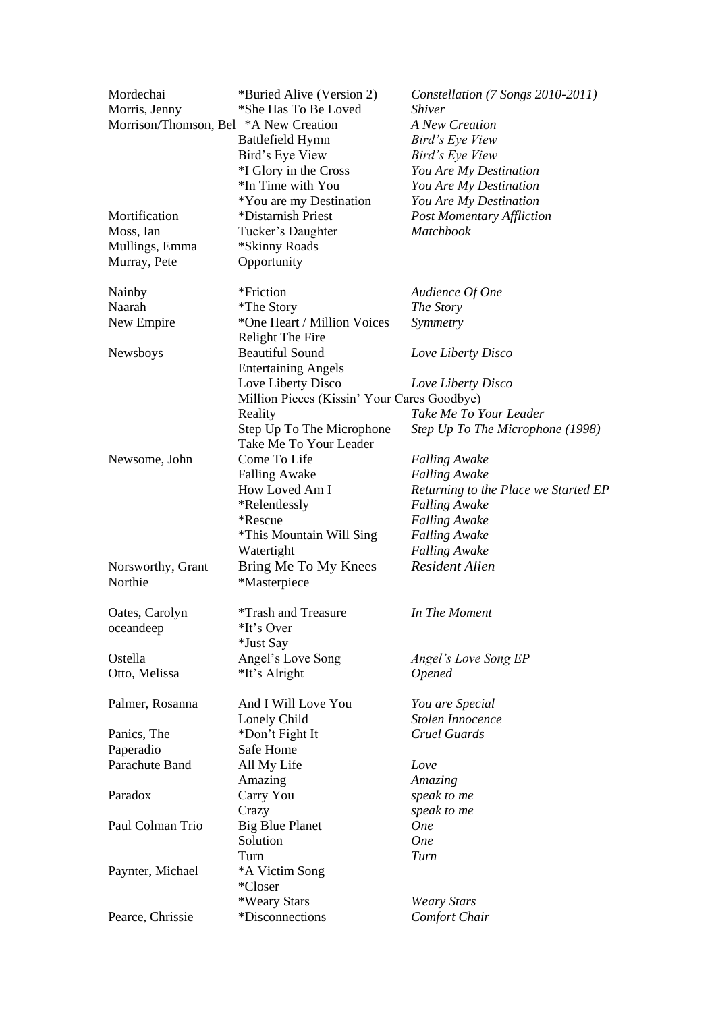| Mordechai             | *Buried Alive (Version 2)                   | Constellation (7 Songs 2010-2011)    |
|-----------------------|---------------------------------------------|--------------------------------------|
| Morris, Jenny         | *She Has To Be Loved                        | <b>Shiver</b>                        |
| Morrison/Thomson, Bel | *A New Creation                             | <b>A New Creation</b>                |
|                       | Battlefield Hymn                            | Bird's Eye View                      |
|                       | Bird's Eye View                             | Bird's Eye View                      |
|                       | *I Glory in the Cross                       | You Are My Destination               |
|                       | *In Time with You                           | You Are My Destination               |
|                       | *You are my Destination                     | You Are My Destination               |
| Mortification         | *Distarnish Priest                          | <b>Post Momentary Affliction</b>     |
| Moss, Ian             | Tucker's Daughter                           | <b>Matchbook</b>                     |
| Mullings, Emma        | *Skinny Roads                               |                                      |
| Murray, Pete          | Opportunity                                 |                                      |
|                       |                                             |                                      |
| Nainby                | *Friction                                   | Audience Of One                      |
| Naarah                | <i>*</i> The Story                          | The Story                            |
| New Empire            | *One Heart / Million Voices                 | Symmetry                             |
|                       | Relight The Fire                            |                                      |
| Newsboys              | <b>Beautiful Sound</b>                      | Love Liberty Disco                   |
|                       | <b>Entertaining Angels</b>                  |                                      |
|                       | Love Liberty Disco                          | Love Liberty Disco                   |
|                       | Million Pieces (Kissin' Your Cares Goodbye) |                                      |
|                       | Reality                                     | Take Me To Your Leader               |
|                       | Step Up To The Microphone                   | Step Up To The Microphone (1998)     |
|                       | Take Me To Your Leader                      |                                      |
| Newsome, John         | Come To Life                                | <b>Falling Awake</b>                 |
|                       | <b>Falling Awake</b>                        | <b>Falling Awake</b>                 |
|                       | How Loved Am I                              | Returning to the Place we Started EP |
|                       | *Relentlessly                               | <b>Falling Awake</b>                 |
|                       | *Rescue                                     | <b>Falling Awake</b>                 |
|                       | *This Mountain Will Sing                    | <b>Falling Awake</b>                 |
|                       |                                             | <b>Falling Awake</b>                 |
|                       | Watertight                                  |                                      |
| Norsworthy, Grant     | Bring Me To My Knees                        | <b>Resident Alien</b>                |
| Northie               | *Masterpiece                                |                                      |
|                       | <i>*Trash and Treasure</i>                  | In The Moment                        |
| Oates, Carolyn        |                                             |                                      |
| oceandeep             | *It's Over                                  |                                      |
|                       | *Just Say                                   |                                      |
| Ostella               | Angel's Love Song                           | Angel's Love Song EP                 |
| Otto, Melissa         | *It's Alright                               | <b>Opened</b>                        |
| Palmer, Rosanna       | And I Will Love You                         | You are Special                      |
|                       | Lonely Child                                | Stolen Innocence                     |
| Panics, The           | *Don't Fight It                             | Cruel Guards                         |
| Paperadio             | Safe Home                                   |                                      |
| Parachute Band        |                                             |                                      |
|                       | All My Life                                 | Love                                 |
|                       | Amazing                                     | Amazing                              |
| Paradox               | Carry You                                   | speak to me                          |
|                       | Crazy                                       | speak to me                          |
| Paul Colman Trio      | <b>Big Blue Planet</b>                      | <b>One</b>                           |
|                       | Solution                                    | <b>One</b>                           |
|                       | Turn                                        | Turn                                 |
| Paynter, Michael      | *A Victim Song                              |                                      |
|                       | *Closer                                     |                                      |
|                       | *Weary Stars                                | <b>Weary Stars</b>                   |
| Pearce, Chrissie      | *Disconnections                             | <b>Comfort Chair</b>                 |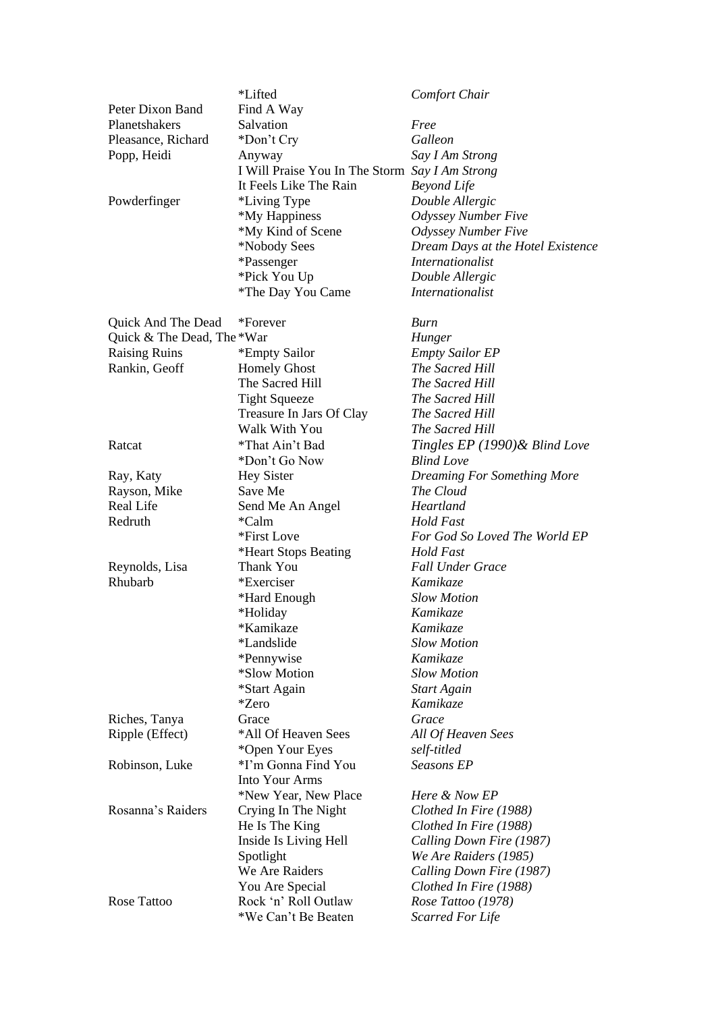|                            | *Lifted                                        | Comfort Chair                      |
|----------------------------|------------------------------------------------|------------------------------------|
| Peter Dixon Band           | Find A Way                                     |                                    |
| Planetshakers              | Salvation                                      | Free                               |
| Pleasance, Richard         | *Don't Cry                                     | Galleon                            |
| Popp, Heidi                | Anyway                                         | Say I Am Strong                    |
|                            | I Will Praise You In The Storm Say I Am Strong |                                    |
|                            | It Feels Like The Rain                         | <b>Beyond Life</b>                 |
| Powderfinger               | *Living Type                                   | Double Allergic                    |
|                            | *My Happiness                                  | <b>Odyssey Number Five</b>         |
|                            | *My Kind of Scene                              | <b>Odyssey Number Five</b>         |
|                            | *Nobody Sees                                   | Dream Days at the Hotel Existence  |
|                            | *Passenger                                     | <i>Internationalist</i>            |
|                            | *Pick You Up                                   | Double Allergic                    |
|                            | <i>*The Day You Came</i>                       | <i>Internationalist</i>            |
| Quick And The Dead         | *Forever                                       | Burn                               |
| Quick & The Dead, The *War |                                                | Hunger                             |
| Raising Ruins              | *Empty Sailor                                  | <b>Empty Sailor EP</b>             |
| Rankin, Geoff              | <b>Homely Ghost</b>                            | The Sacred Hill                    |
|                            | The Sacred Hill                                | The Sacred Hill                    |
|                            | <b>Tight Squeeze</b>                           | The Sacred Hill                    |
|                            | Treasure In Jars Of Clay                       | The Sacred Hill                    |
|                            | Walk With You                                  | The Sacred Hill                    |
|                            | *That Ain't Bad                                |                                    |
| Ratcat                     |                                                | Tingles $EP(1990)$ & Blind Love    |
|                            | *Don't Go Now                                  | <b>Blind Love</b>                  |
| Ray, Katy                  | <b>Hey Sister</b>                              | <b>Dreaming For Something More</b> |
| Rayson, Mike               | Save Me                                        | The Cloud                          |
| Real Life                  | Send Me An Angel                               | Heartland                          |
| Redruth                    | *Calm                                          | Hold Fast                          |
|                            | *First Love                                    | For God So Loved The World EP      |
|                            | *Heart Stops Beating                           | Hold Fast                          |
| Reynolds, Lisa             | Thank You                                      | <b>Fall Under Grace</b>            |
| Rhubarb                    | *Exerciser                                     | <b>Kamikaze</b>                    |
|                            | *Hard Enough                                   | <b>Slow Motion</b>                 |
|                            | *Holiday                                       | Kamikaze                           |
|                            | *Kamikaze                                      | Kamikaze                           |
|                            | *Landslide                                     | <b>Slow Motion</b>                 |
|                            | *Pennywise                                     | Kamikaze                           |
|                            | *Slow Motion                                   | <b>Slow Motion</b>                 |
|                            | *Start Again                                   | <b>Start Again</b>                 |
|                            | <i>*Zero</i>                                   | <b>Kamikaze</b>                    |
| Riches, Tanya              | Grace                                          | Grace                              |
| Ripple (Effect)            | *All Of Heaven Sees                            | All Of Heaven Sees                 |
|                            | *Open Your Eyes                                | self-titled                        |
| Robinson, Luke             | *I'm Gonna Find You                            | Seasons EP                         |
|                            | <b>Into Your Arms</b>                          |                                    |
|                            | *New Year, New Place                           | Here & Now EP                      |
| Rosanna's Raiders          | Crying In The Night                            | Clothed In Fire (1988)             |
|                            | He Is The King                                 | Clothed In Fire (1988)             |
|                            | Inside Is Living Hell                          | Calling Down Fire (1987)           |
|                            | Spotlight                                      | We Are Raiders (1985)              |
|                            | We Are Raiders                                 | Calling Down Fire (1987)           |
|                            | You Are Special                                | Clothed In Fire (1988)             |
| Rose Tattoo                | Rock 'n' Roll Outlaw                           | Rose Tattoo (1978)                 |
|                            | *We Can't Be Beaten                            | <b>Scarred For Life</b>            |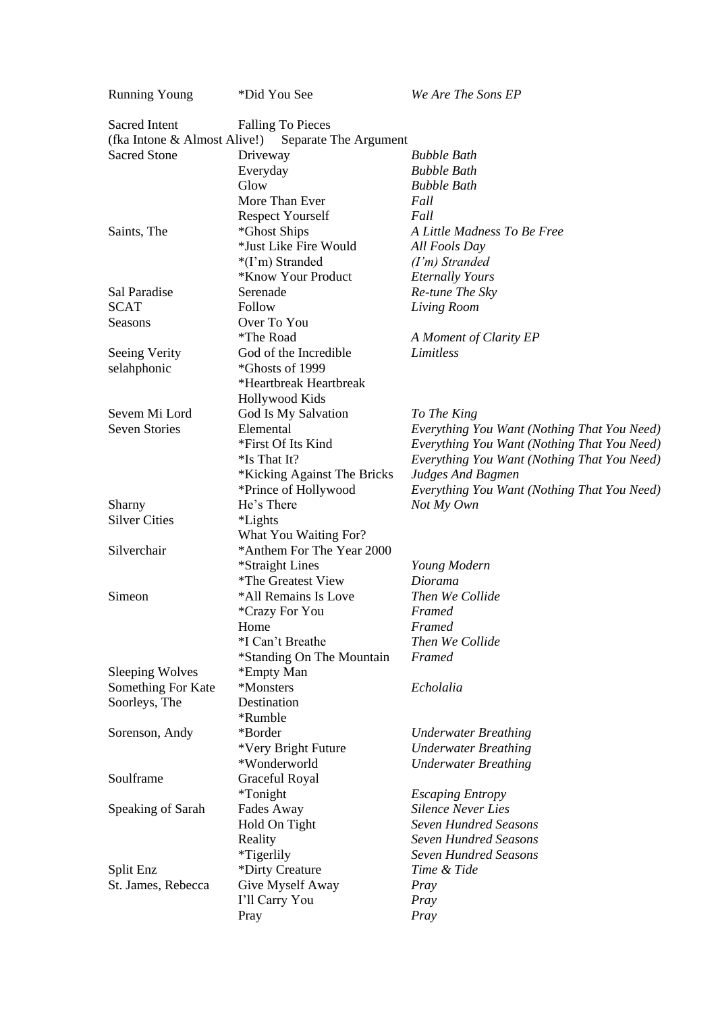| <b>Running Young</b>         | *Did You See                | We Are The Sons EP                          |
|------------------------------|-----------------------------|---------------------------------------------|
| <b>Sacred Intent</b>         | <b>Falling To Pieces</b>    |                                             |
| (fka Intone & Almost Alive!) | Separate The Argument       |                                             |
| <b>Sacred Stone</b>          | Driveway                    | <b>Bubble Bath</b>                          |
|                              | Everyday                    | <b>Bubble Bath</b>                          |
|                              | Glow                        | <b>Bubble Bath</b>                          |
|                              | More Than Ever              | Fall                                        |
|                              | <b>Respect Yourself</b>     | Fall                                        |
| Saints, The                  | *Ghost Ships                | A Little Madness To Be Free                 |
|                              | *Just Like Fire Would       | All Fools Day                               |
|                              | *(I'm) Stranded             | $(I'm)$ Stranded                            |
|                              | *Know Your Product          | <b>Eternally Yours</b>                      |
| Sal Paradise                 | Serenade                    | Re-tune The Sky                             |
| <b>SCAT</b>                  | Follow                      | Living Room                                 |
| Seasons                      | Over To You                 |                                             |
|                              | <i>*The Road</i>            | A Moment of Clarity EP                      |
| Seeing Verity                | God of the Incredible       | Limitless                                   |
| selahphonic                  | *Ghosts of 1999             |                                             |
|                              | *Heartbreak Heartbreak      |                                             |
|                              | Hollywood Kids              |                                             |
| Sevem Mi Lord                | God Is My Salvation         | To The King                                 |
| <b>Seven Stories</b>         | Elemental                   | Everything You Want (Nothing That You Need) |
|                              | *First Of Its Kind          | Everything You Want (Nothing That You Need) |
|                              | *Is That It?                | Everything You Want (Nothing That You Need) |
|                              | *Kicking Against The Bricks | <b>Judges And Bagmen</b>                    |
|                              | *Prince of Hollywood        | Everything You Want (Nothing That You Need) |
| Sharny                       | He's There                  | Not My Own                                  |
| <b>Silver Cities</b>         | <i>*Lights</i>              |                                             |
|                              | What You Waiting For?       |                                             |
| Silverchair                  | *Anthem For The Year 2000   |                                             |
|                              | *Straight Lines             | Young Modern                                |
|                              | *The Greatest View          | Diorama                                     |
| Simeon                       | *All Remains Is Love        | Then We Collide                             |
|                              | *Crazy For You              | Framed                                      |
|                              | Home                        | Framed                                      |
|                              | *I Can't Breathe            | Then We Collide                             |
|                              | *Standing On The Mountain   | Framed                                      |
| <b>Sleeping Wolves</b>       | *Empty Man                  |                                             |
| Something For Kate           | *Monsters                   | Echolalia                                   |
| Soorleys, The                | Destination                 |                                             |
|                              | *Rumble                     |                                             |
| Sorenson, Andy               | *Border                     | <b>Underwater Breathing</b>                 |
|                              | *Very Bright Future         | <b>Underwater Breathing</b>                 |
|                              | *Wonderworld                | <b>Underwater Breathing</b>                 |
| Soulframe                    | Graceful Royal              |                                             |
|                              | <i>*</i> Tonight            | <b>Escaping Entropy</b>                     |
| Speaking of Sarah            | Fades Away                  | <b>Silence Never Lies</b>                   |
|                              | Hold On Tight               | <b>Seven Hundred Seasons</b>                |
|                              | Reality                     | <b>Seven Hundred Seasons</b>                |
|                              | *Tigerlily                  | Seven Hundred Seasons                       |
| Split Enz                    | *Dirty Creature             | Time & Tide                                 |
| St. James, Rebecca           | Give Myself Away            | Pray                                        |
|                              | I'll Carry You              | Pray                                        |
|                              | Pray                        | Pray                                        |
|                              |                             |                                             |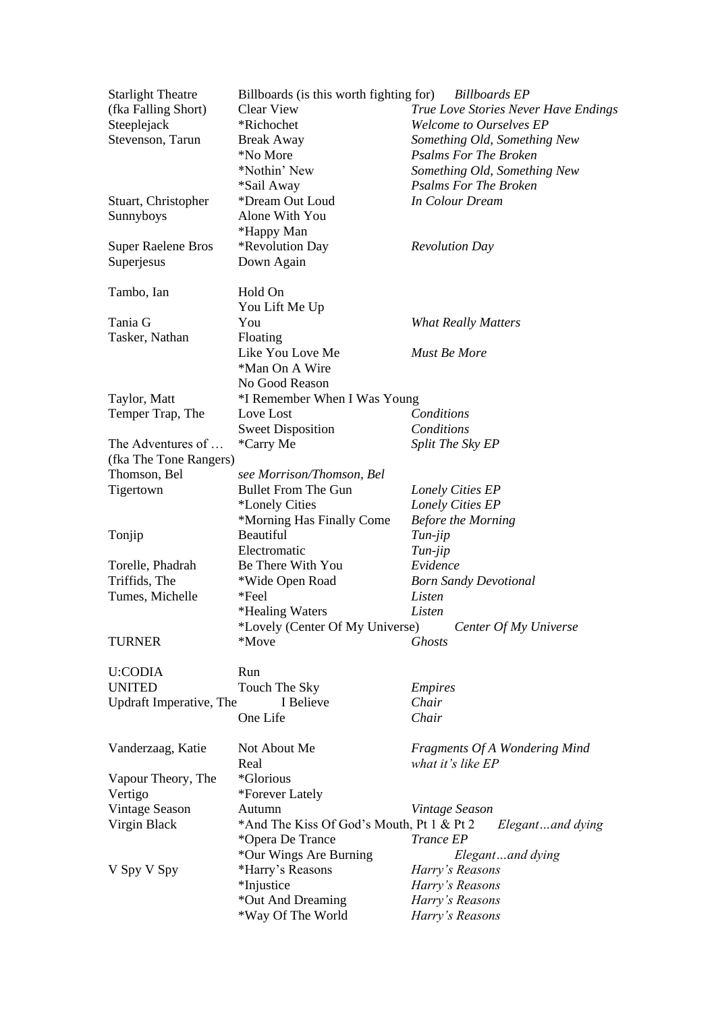| <b>Starlight Theatre</b>  | Billboards (is this worth fighting for)   | <b>Billboards</b> EP                   |
|---------------------------|-------------------------------------------|----------------------------------------|
| (fka Falling Short)       | Clear View                                | True Love Stories Never Have Endings   |
| Steeplejack               | *Richochet                                | <b>Welcome to Ourselves EP</b>         |
| Stevenson, Tarun          | <b>Break Away</b>                         | Something Old, Something New           |
|                           | *No More                                  | <b>Psalms For The Broken</b>           |
|                           | *Nothin' New                              | Something Old, Something New           |
|                           |                                           |                                        |
|                           | *Sail Away                                | <b>Psalms For The Broken</b>           |
| Stuart, Christopher       | *Dream Out Loud                           | In Colour Dream                        |
| Sunnyboys                 | Alone With You                            |                                        |
|                           | *Happy Man                                |                                        |
| <b>Super Raelene Bros</b> | *Revolution Day                           | <b>Revolution Day</b>                  |
| Superjesus                | Down Again                                |                                        |
| Tambo, Ian                | Hold On                                   |                                        |
|                           | You Lift Me Up                            |                                        |
| Tania G                   | You                                       | <b>What Really Matters</b>             |
|                           |                                           |                                        |
| Tasker, Nathan            | Floating                                  |                                        |
|                           | Like You Love Me                          | Must Be More                           |
|                           | *Man On A Wire                            |                                        |
|                           | No Good Reason                            |                                        |
| Taylor, Matt              | *I Remember When I Was Young              |                                        |
| Temper Trap, The          | Love Lost                                 | Conditions                             |
|                           | <b>Sweet Disposition</b>                  | Conditions                             |
| The Adventures of         | *Carry Me                                 | Split The Sky EP                       |
| (fka The Tone Rangers)    |                                           |                                        |
| Thomson, Bel              | see Morrison/Thomson, Bel                 |                                        |
| Tigertown                 | <b>Bullet From The Gun</b>                | Lonely Cities EP                       |
|                           | <i>*Lonely Cities</i>                     | Lonely Cities EP                       |
|                           | *Morning Has Finally Come                 | <b>Before the Morning</b>              |
| Tonjip                    | Beautiful                                 | $Tun-jip$                              |
|                           | Electromatic                              | Tun-jip                                |
| Torelle, Phadrah          | Be There With You                         | Evidence                               |
| Triffids, The             |                                           |                                        |
|                           | *Wide Open Road<br>*Feel                  | <b>Born Sandy Devotional</b><br>Listen |
| Tumes, Michelle           |                                           |                                        |
|                           | *Healing Waters                           | Listen                                 |
|                           | *Lovely (Center Of My Universe)           | Center Of My Universe                  |
| <b>TURNER</b>             | *Move                                     | <b>Ghosts</b>                          |
| U:CODIA                   | Run                                       |                                        |
| <b>UNITED</b>             | Touch The Sky                             | <b>Empires</b>                         |
| Updraft Imperative, The   | I Believe                                 | Chair                                  |
|                           | One Life                                  | Chair                                  |
|                           |                                           |                                        |
| Vanderzaag, Katie         | Not About Me                              | <b>Fragments Of A Wondering Mind</b>   |
|                           | Real                                      | what it's like EP                      |
| Vapour Theory, The        | *Glorious                                 |                                        |
| Vertigo                   | *Forever Lately                           |                                        |
| Vintage Season            | Autumn                                    | Vintage Season                         |
| Virgin Black              | *And The Kiss Of God's Mouth, Pt 1 & Pt 2 | Elegantand dying                       |
|                           | *Opera De Trance                          | Trance EP                              |
|                           | *Our Wings Are Burning                    | Elegantand dying                       |
| V Spy V Spy               | *Harry's Reasons                          | Harry's Reasons                        |
|                           | *Injustice                                | Harry's Reasons                        |
|                           | *Out And Dreaming                         | Harry's Reasons                        |
|                           | *Way Of The World                         | Harry's Reasons                        |
|                           |                                           |                                        |